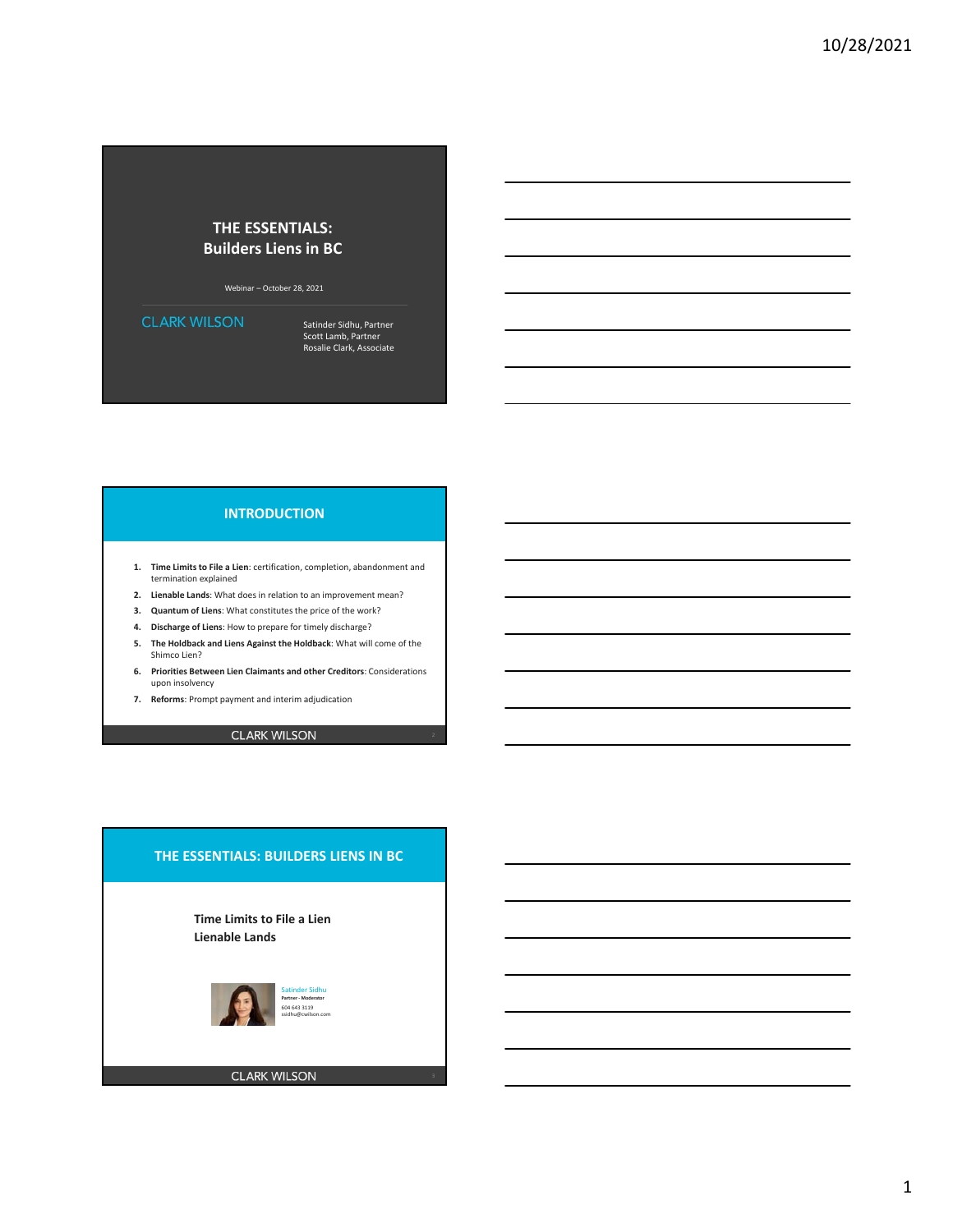## **THE ESSENTIALS: Builders Liens in BC**

Webinar – October 28, 2021

**CLARK WILSON** 

Satinder Sidhu, Partner Scott Lamb, Partner Rosalie Clark, Associate

## **INTRODUCTION**

- **1. Time Limits to File a Lien**: certification, completion, abandonment and termination explained
- **2. Lienable Lands**: What does in relation to an improvement mean?
- **3. Quantum of Liens**: What constitutes the price of the work?
- **4. Discharge of Liens**: How to prepare for timely discharge?
- **5. The Holdback and Liens Against the Holdback**: What will come of the Shimco Lien?
- **6. Priorities Between Lien Claimants and other Creditors**: Considerations upon insolvency
- **7. Reforms**: Prompt payment and interim adjudication

**CLARK WILSON** 

# **THE ESSENTIALS: BUILDERS LIENS IN BC**

**Time Limits to File a Lien Lienable Lands**

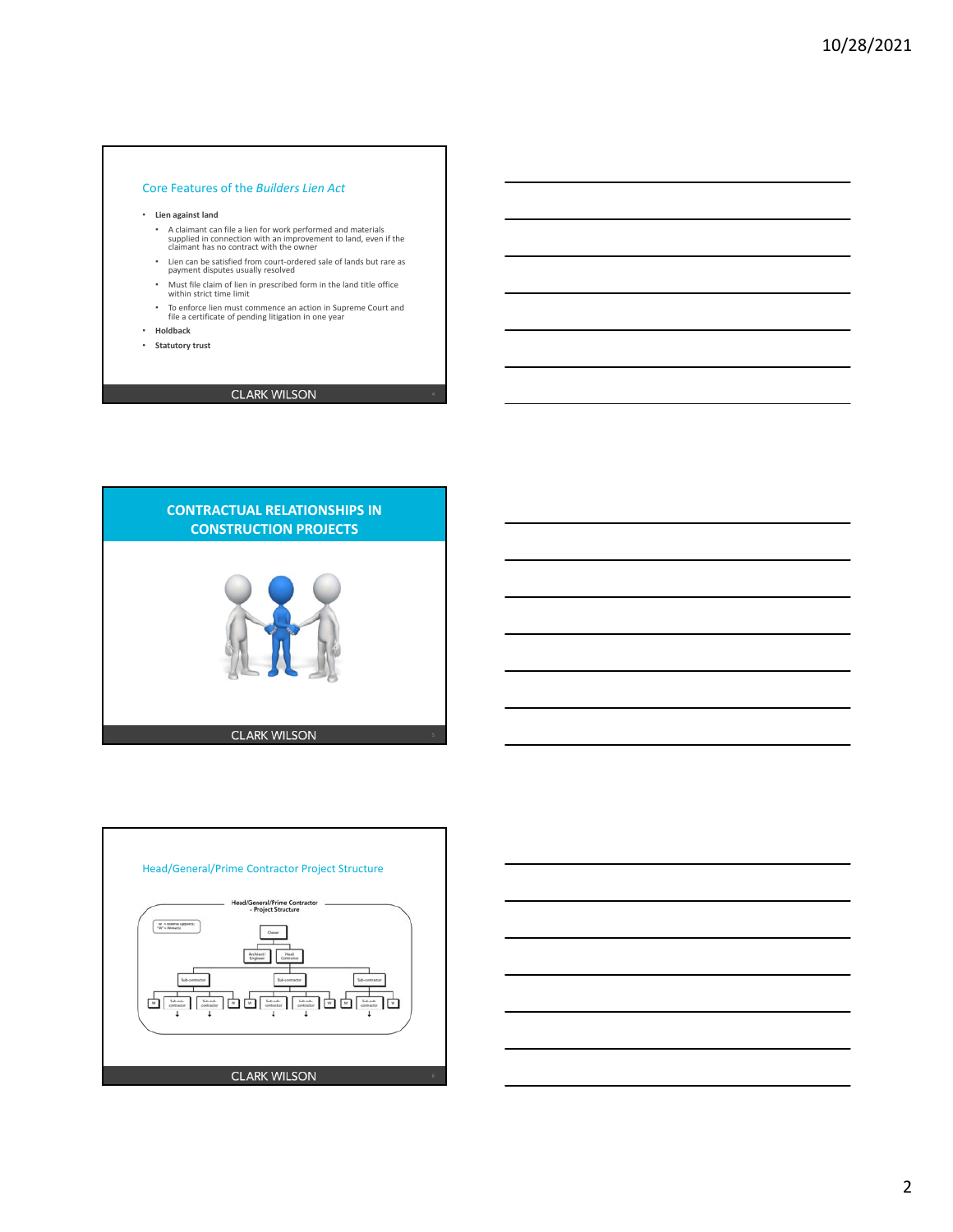### Core Features of the *Builders Lien Act*

#### • **Lien against land**

- A claimant can file a lien for work performed and materials supplied in connection with an improvement to land, even if the claimant has no contract with the owner
- Lien can be satisfied from court‐ordered sale of lands but rare as payment disputes usually resolved
- Must file claim of lien in prescribed form in the land title office within strict time limit
- To enforce lien must commence an action in Supreme Court and file a certificate of pending litigation in one year
- **Holdback**
- 
- **Statutory trust**
- **CLARK WILSON**





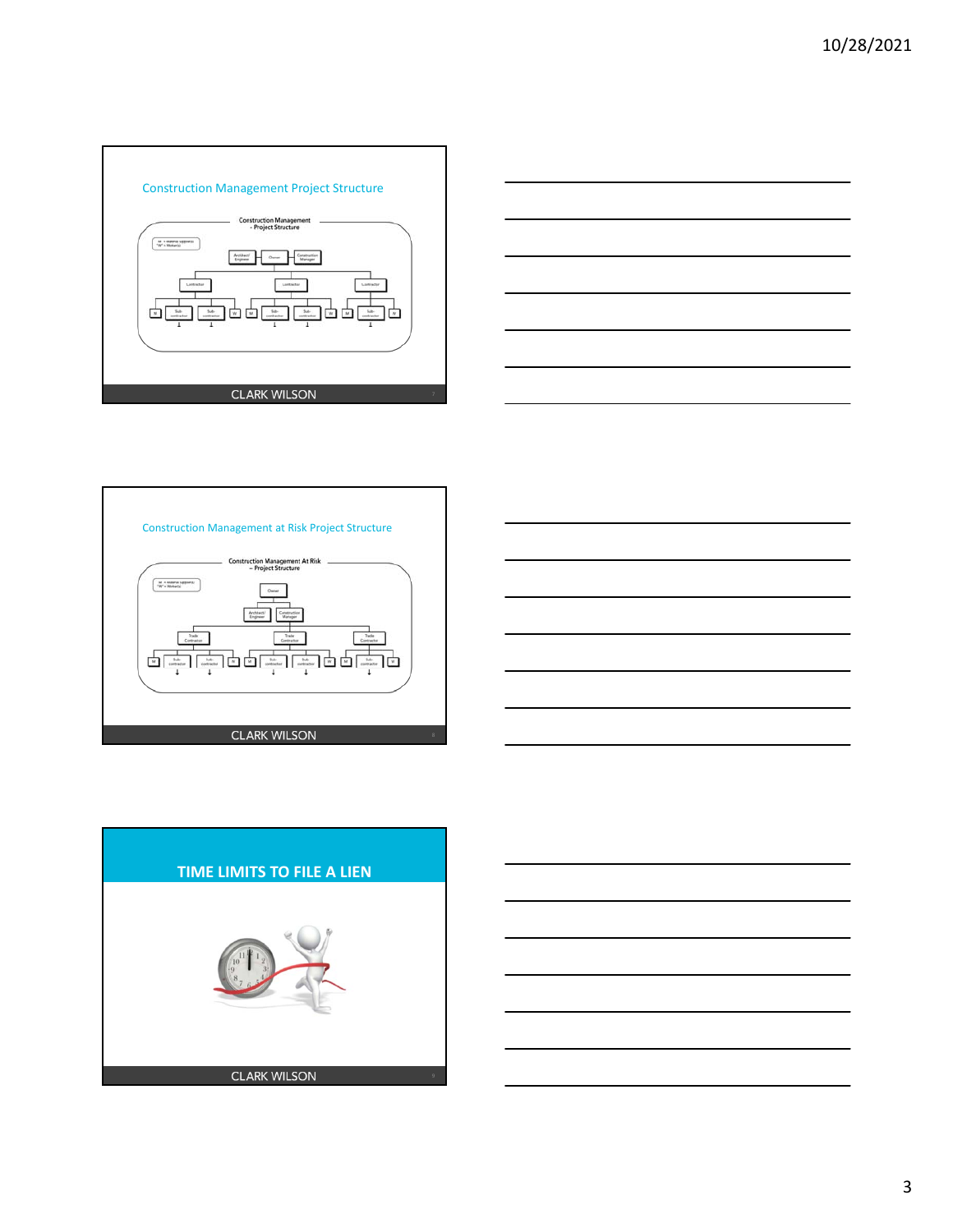









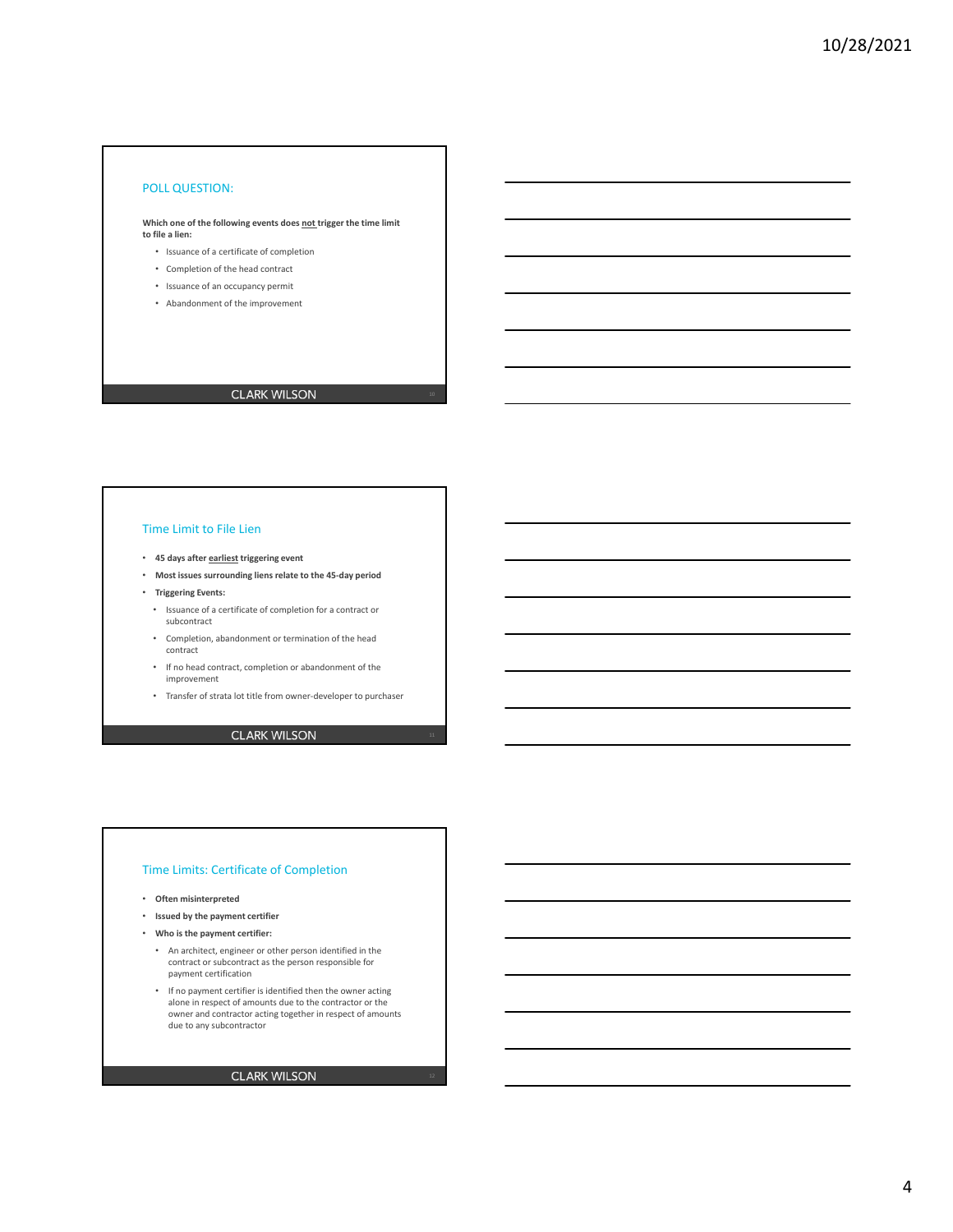### POLL QUESTION:

**Which one of the following events does not trigger the time limit to file a lien:** 

- Issuance of a certificate of completion
- Completion of the head contract
- Issuance of an occupancy permit
- Abandonment of the improvement

## **CLARK WILSON**

### Time Limit to File Lien

- **45 days after earliest triggering event**
- **Most issues surrounding liens relate to the 45‐day period**
- **Triggering Events:**
	- Issuance of a certificate of completion for a contract or subcontract
	- Completion, abandonment or termination of the head contract
	- If no head contract, completion or abandonment of the improvement
	- Transfer of strata lot title from owner‐developer to purchaser

### **CLARK WILSON**

### Time Limits: Certificate of Completion

- **Often misinterpreted**
- **Issued by the payment certifier**
- **Who is the payment certifier:**
	- An architect, engineer or other person identified in the contract or subcontract as the person responsible for payment certification
	- If no payment certifier is identified then the owner acting alone in respect of amounts due to the contractor or the owner and contractor acting together in respect of amounts due to any subcontractor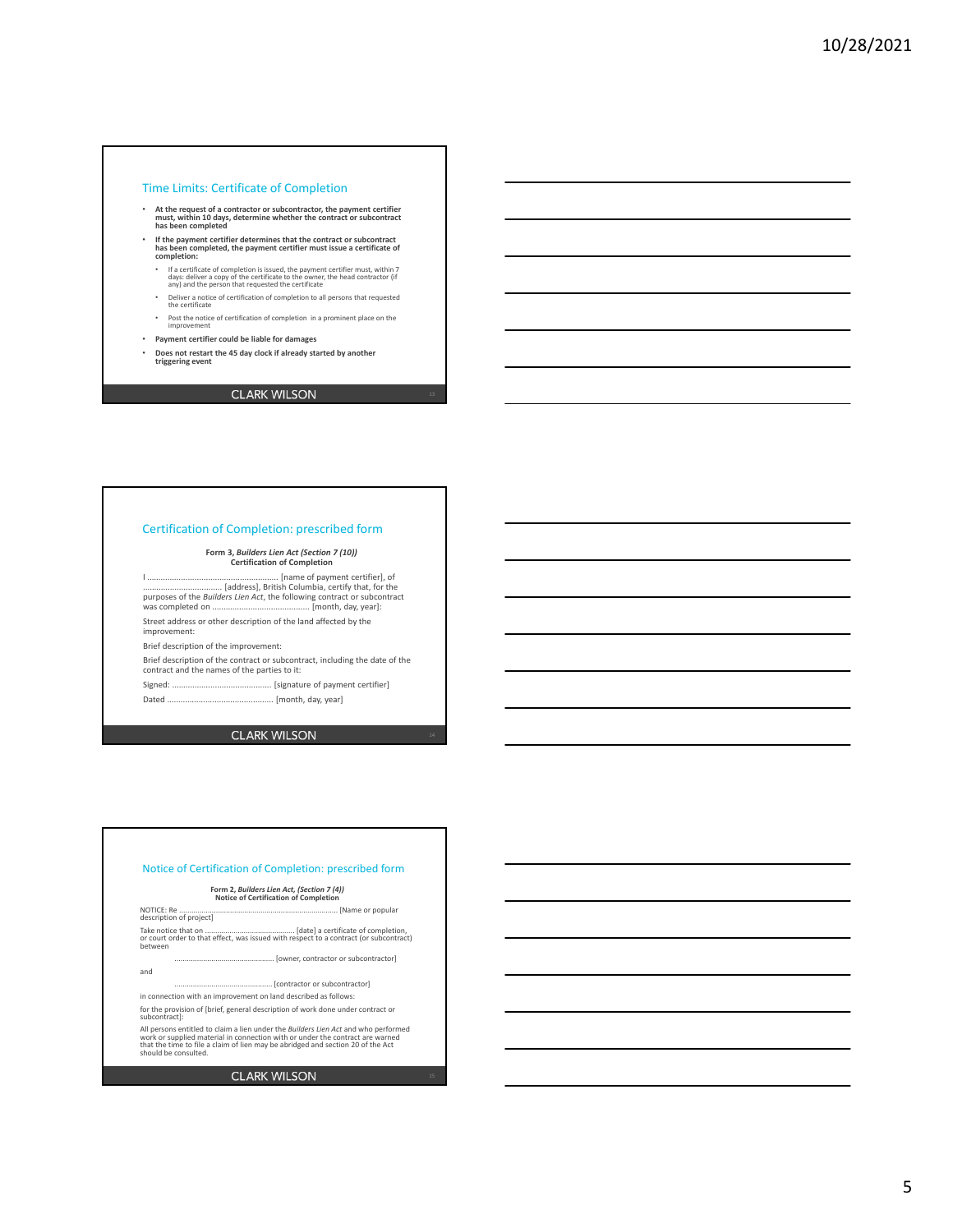#### Time Limits: Certificate of Completion

- **At the request of a contractor or subcontractor, the payment certifier must, within 10 days, determine whether the contract or subcontract has been completed**
- **If the payment certifier determines that the contract or subcontract has been completed, the payment certifier must issue a certificate of completion:**
	- If a certificate of completion is issued, the payment certifier must, within 7 days: deliver a copy of the certificate to the owner, the head contractor (if any) and the person that requested the certificate
	- Deliver a notice of certification of completion to all persons that requested the certificate
	- Post the notice of certification of completion in a prominent place on the improvement
- **Payment certifier could be liable for damages**
- **Does not restart the 45 day clock if already started by another triggering event**

## **CLARK WILSON**

### Certification of Completion: prescribed form

**Form 3,** *Builders Lien Act (Section 7 (10))* **Certification of Completion**

I .......................................................... [name of payment certifier], of ................................... [address], British Columbia, certify that, for the purposes of the *Builders Lien Act*, the following contract or subcontract was completed on ........................................... [month, day, year]: Street address or other description of the land affected by the improvement:

Brief description of the improvement:

Brief description of the contract or subcontract, including the date of the contract and the names of the parties to it:

Signed: ............................................ [signature of payment certifier] Dated ............................................... [month, day, year]

**CLARK WILSON** 

Notice of Certification of Completion: prescribed form **Form 2,** *Builders Lien Act, (Section 7 (4))* **Notice of Certification of Completion** NOTICE: Re .............................................................................. [Name or popular description of project] Take notice that on ............................................ [date] a certificate of completion, or court order to that effect, was issued with respect to a contract (or subcontract) between ................................................. [owner, contractor or subcontractor] and ... [contractor or subcontractor] in connection with an improvement on land described as follows: for the provision of [brief, general description of work done under contract or subcontract]:

All persons entitled to claim a lien under the *Builders Lien Act* and who performed<br>work or supplied material in connection with or under the contract are warned<br>that the time to file a claim of lien may be abridged and s

#### **CLARK WILSON**

5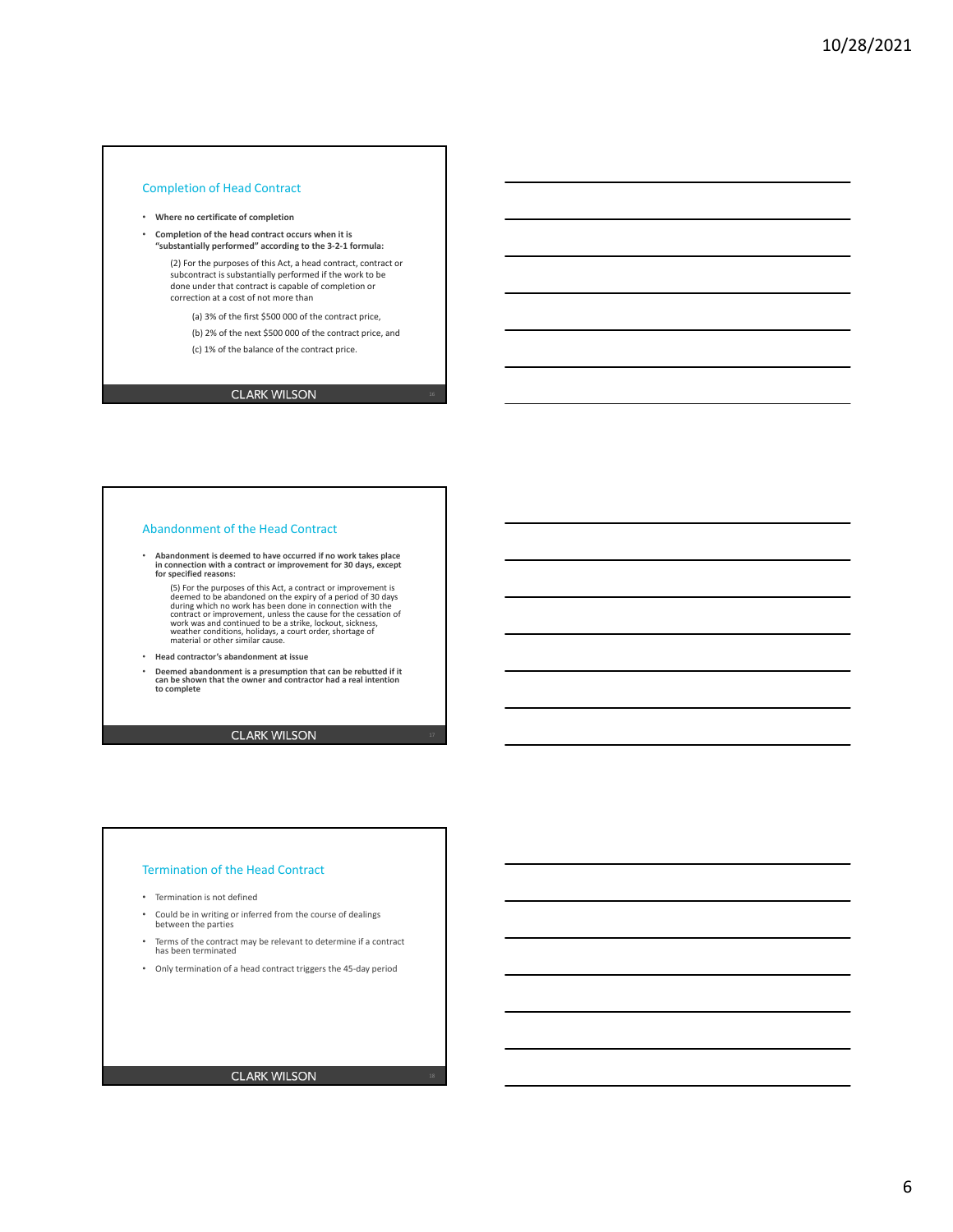### Completion of Head Contract

- **Where no certificate of completion**
- **Completion of the head contract occurs when it is "substantially performed" according to the 3‐2‐1 formula:**

(2) For the purposes of this Act, a head contract, contract or subcontract is substantially performed if the work to be done under that contract is capable of completion or correction at a cost of not more than

(a) 3% of the first \$500 000 of the contract price,

(b) 2% of the next \$500 000 of the contract price, and

(c) 1% of the balance of the contract price.

## **CLARK WILSON**

#### Abandonment of the Head Contract

- **Abandonment is deemed to have occurred if no work takes place in connection with a contract or improvement for 30 days, except for specified reasons:** 
	- (5) For the purposes of this Act, a contract or improvement is<br>deemed to be abandoned on the expiry of a period of 30 days<br>during which no work has been done in connection with the<br>contract or improvement, unless the cause
- **Head contractor's abandonment at issue**
- **Deemed abandonment is a presumption that can be rebutted if it can be shown that the owner and contractor had a real intention to complete**

**CLARK WILSON** 

#### Termination of the Head Contract

- Termination is not defined
- Could be in writing or inferred from the course of dealings between the parties
- Terms of the contract may be relevant to determine if a contract has been terminated
- Only termination of a head contract triggers the 45‐day period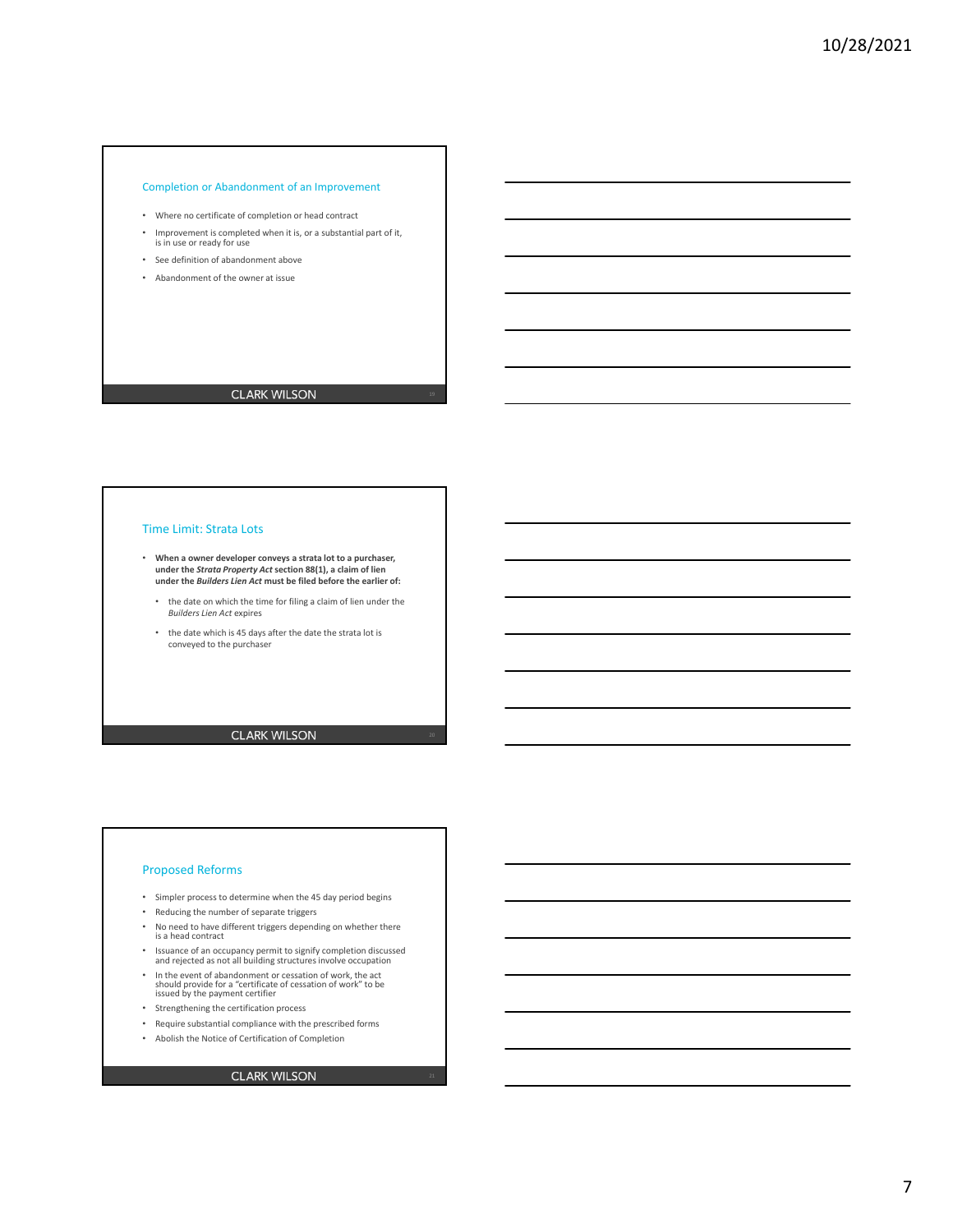### Completion or Abandonment of an Improvement

- Where no certificate of completion or head contract
- Improvement is completed when it is, or a substantial part of it, is in use or ready for use
- See definition of abandonment above
- Abandonment of the owner at issue

## **CLARK WILSON**

### Time Limit: Strata Lots

- **When a owner developer conveys a strata lot to a purchaser, under the** *Strata Property Act* **section 88(1), a claim of lien under the** *Builders Lien Act* **must be filed before the earlier of:**
	- the date on which the time for filing a claim of lien under the *Builders Lien Act* expires
	- the date which is 45 days after the date the strata lot is conveyed to the purchaser

**CLARK WILSON** 

#### Proposed Reforms

- Simpler process to determine when the 45 day period begins
- Reducing the number of separate triggers
- No need to have different triggers depending on whether there is a head contract
- Issuance of an occupancy permit to signify completion discussed and rejected as not all building structures involve occupation
- In the event of abandonment or cessation of work, the act should provide for a "certificate of cessation of work" to be issued by the payment certifier
- Strengthening the certification process
- Require substantial compliance with the prescribed forms
- Abolish the Notice of Certification of Completion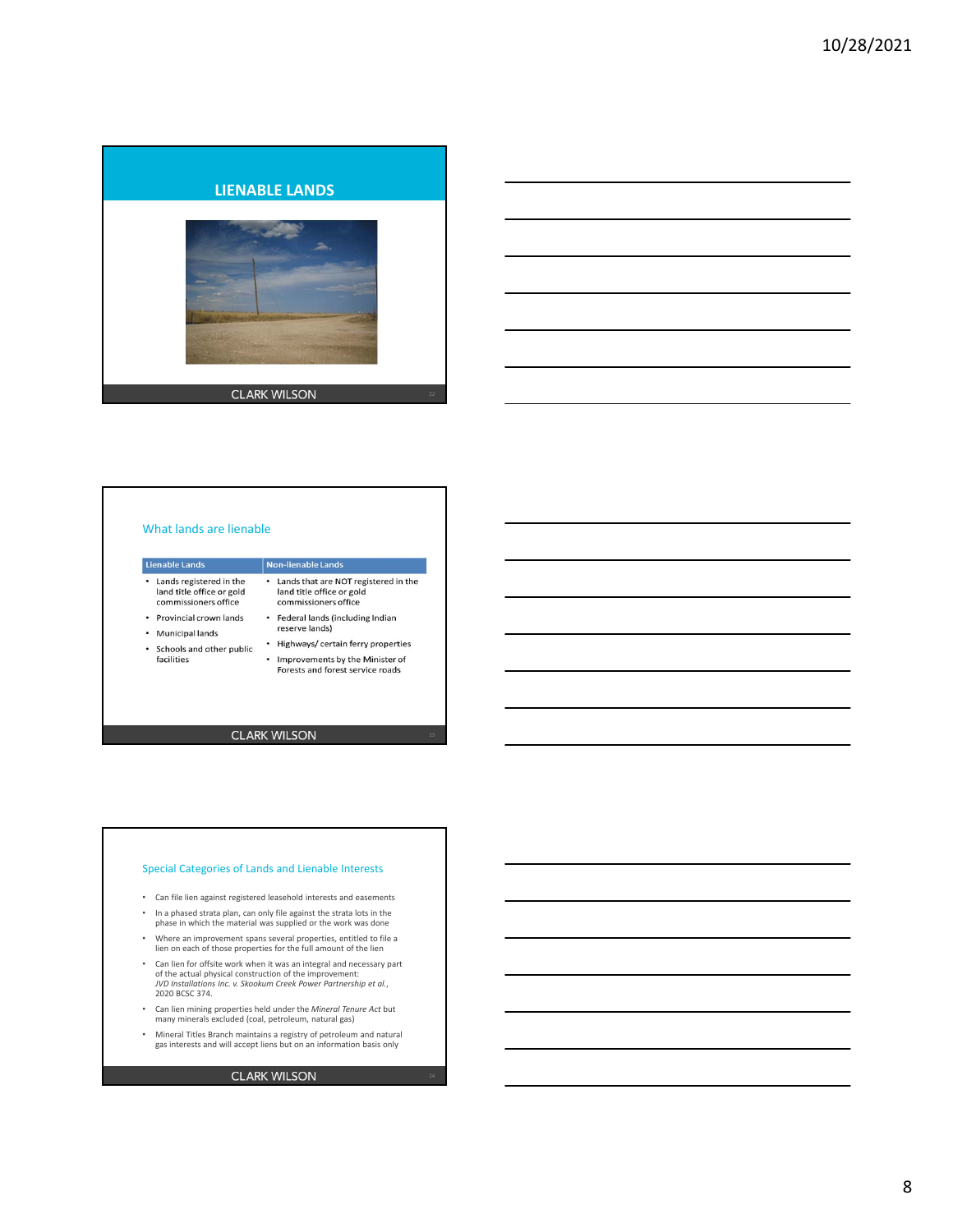



#### What lands are lienable Lienable Lands Non-lienable Lands .<br>• Lands that are NOT registered in the · Lands registered in the land title office or gold land title office or gold commissioners office commissioners office • Provincial crown lands • Federal lands (including Indian reserve lands) • Municipal lands • Highways/ certain ferry properties • Schools and other public • Improvements by the Minister of facilities Forests and forest service roads

**CLARK WILSON** 

#### Special Categories of Lands and Lienable Interests

- Can file lien against registered leasehold interests and easements
- In a phased strata plan, can only file against the strata lots in the phase in which the material was supplied or the work was done
- Where an improvement spans several properties, entitled to file a lien on each of those properties for the full amount of the lien
- Can lien for offsite work when it was an integral and necessary part of the actual physical construction of the improvement: *JVD Installations Inc. v. Skookum Creek Power Partnership et al.*, 2020 BCSC 374.
- Can lien mining properties held under the *Mineral Tenure Act* but many minerals excluded (coal, petroleum, natural gas)
- Mineral Titles Branch maintains a registry of petroleum and natural gas interests and will accept liens but on an information basis only

### **CLARK WILSON**

8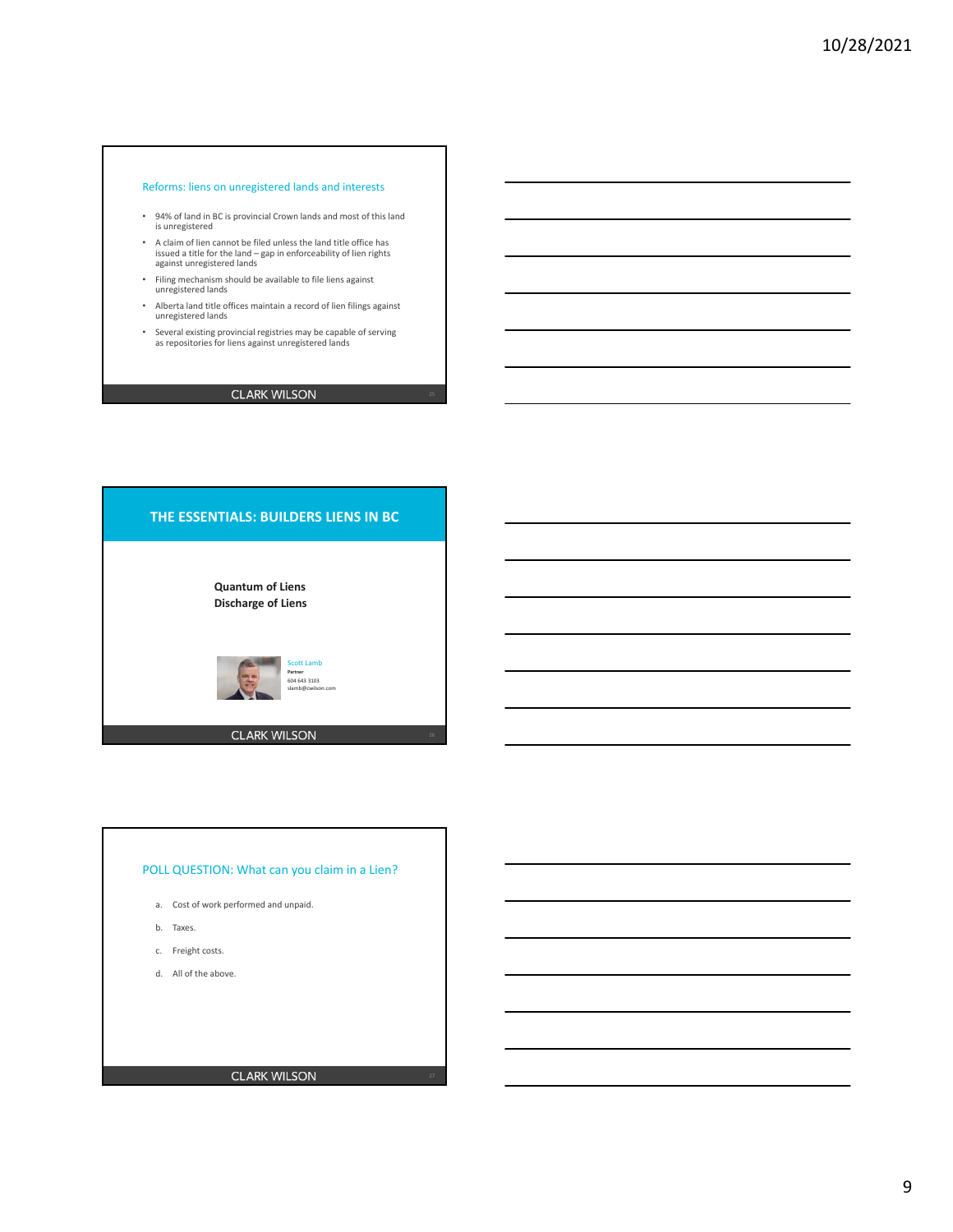### Reforms: liens on unregistered lands and interests

- 94% of land in BC is provincial Crown lands and most of this land is unregistered
- A claim of lien cannot be filed unless the land title office has issued a title for the land – gap in enforceability of lien rights against unregistered lands
- Filing mechanism should be available to file liens against unregistered lands
- Alberta land title offices maintain a record of lien filings against unregistered lands
- Several existing provincial registries may be capable of serving as repositories for liens against unregistered lands

## **CLARK WILSON**





- a. Cost of work performed and unpaid.
- b. Taxes.
- c. Freight costs.
- d. All of the above.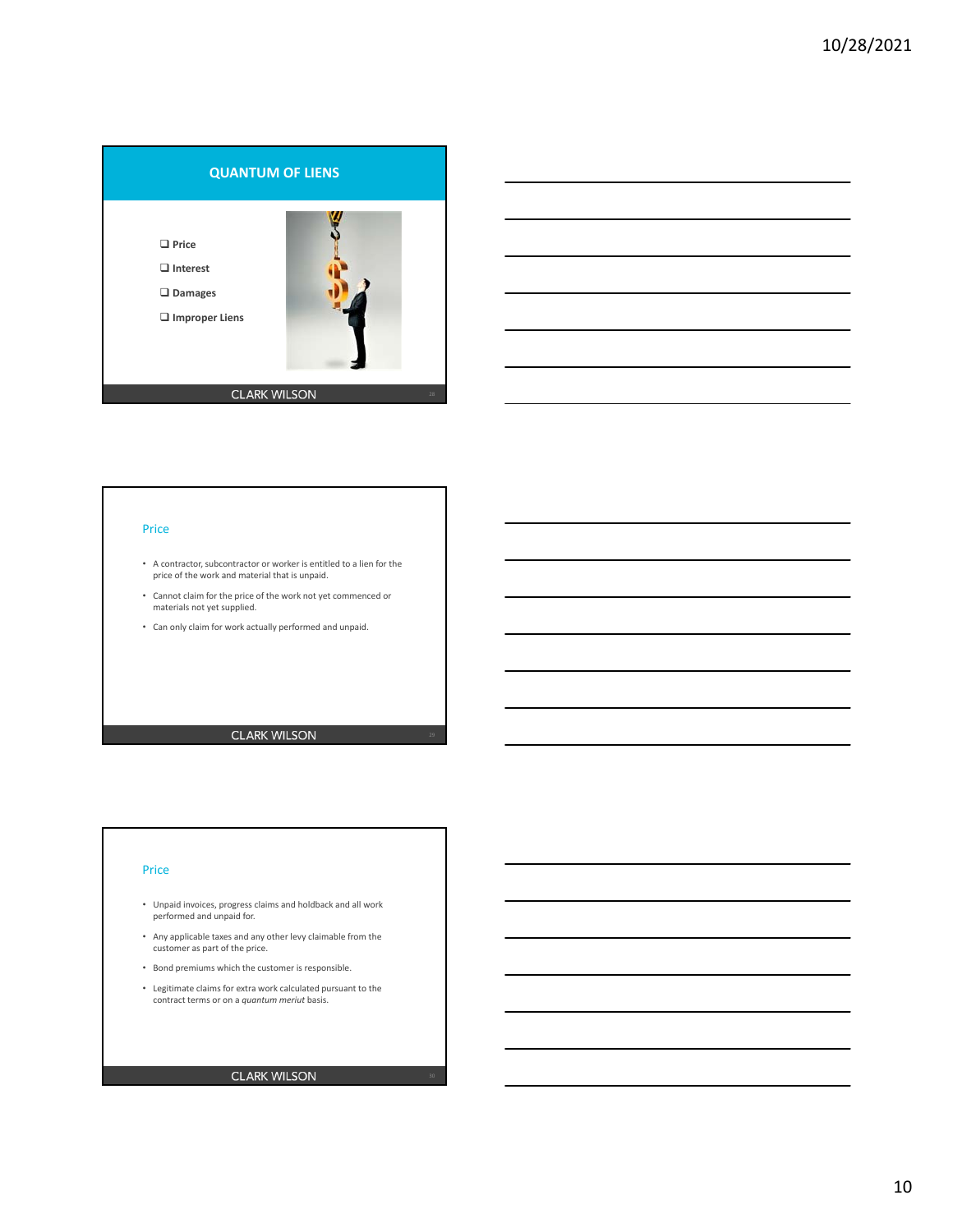



### Price

- A contractor, subcontractor or worker is entitled to a lien for the price of the work and material that is unpaid.
- Cannot claim for the price of the work not yet commenced or materials not yet supplied.
- Can only claim for work actually performed and unpaid.

**CLARK WILSON** 

#### Price

- Unpaid invoices, progress claims and holdback and all work performed and unpaid for.
- Any applicable taxes and any other levy claimable from the customer as part of the price.
- Bond premiums which the customer is responsible.
- Legitimate claims for extra work calculated pursuant to the contract terms or on a *quantum meriut* basis.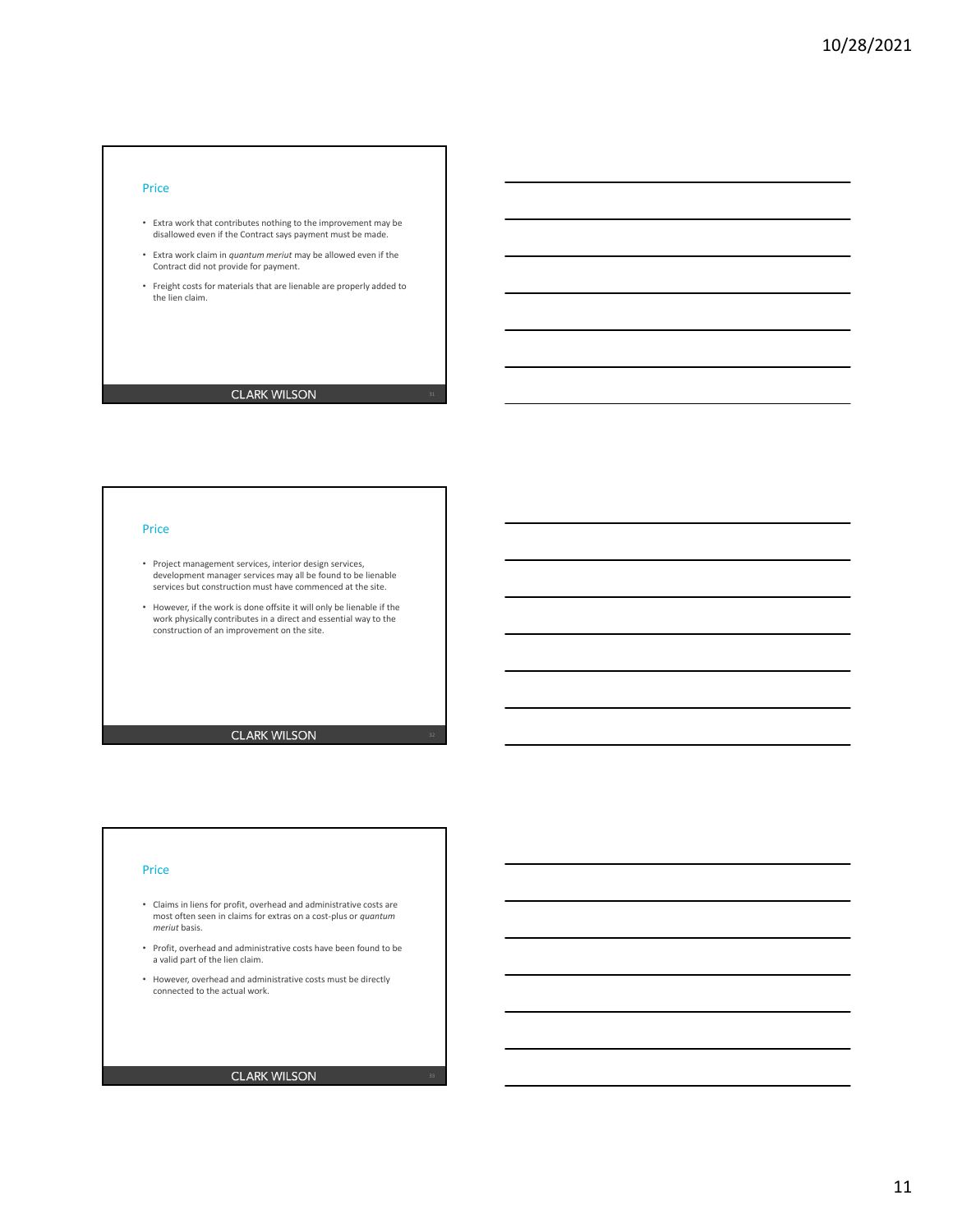#### Price

- Extra work that contributes nothing to the improvement may be disallowed even if the Contract says payment must be made.
- Extra work claim in *quantum meriut* may be allowed even if the Contract did not provide for payment.
- Freight costs for materials that are lienable are properly added to the lien claim.

## **CLARK WILSON**

### Price

- Project management services, interior design services, development manager services may all be found to be lienable services but construction must have commenced at the site.
- However, if the work is done offsite it will only be lienable if the work physically contributes in a direct and essential way to the construction of an improvement on the site.

**CLARK WILSON** 

#### Price

- Claims in liens for profit, overhead and administrative costs are most often seen in claims for extras on a cost‐plus or *quantum meriut* basis.
- Profit, overhead and administrative costs have been found to be a valid part of the lien claim.
- However, overhead and administrative costs must be directly connected to the actual work.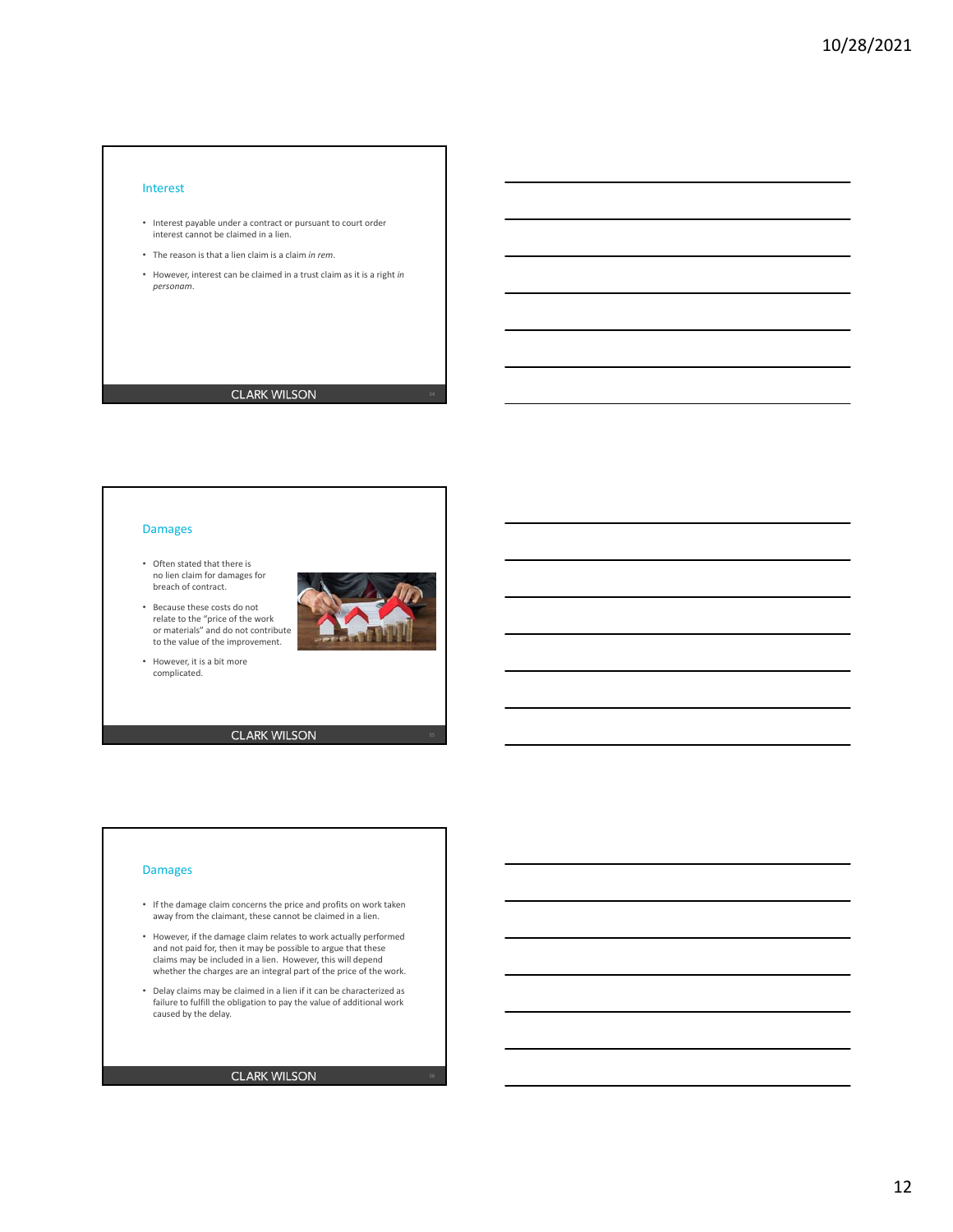#### Interest

- Interest payable under a contract or pursuant to court order interest cannot be claimed in a lien.
- The reason is that a lien claim is a claim *in rem*.
- However, interest can be claimed in a trust claim as it is a right *in personam*.

## **CLARK WILSON**

### Damages

- Often stated that there is no lien claim for damages for breach of contract.
- Because these costs do not relate to the "price of the work or materials" and do not contribute to the value of the improvement.
- However, it is a bit more complicated.

**CLARK WILSON** 

#### Damages

- If the damage claim concerns the price and profits on work taken away from the claimant, these cannot be claimed in a lien.
- However, if the damage claim relates to work actually performed and not paid for, then it may be possible to argue that these claims may be included in a lien. However, this will depend whether the charges are an integral part of the price of the work.
- Delay claims may be claimed in a lien if it can be characterized as failure to fulfill the obligation to pay the value of additional work caused by the delay.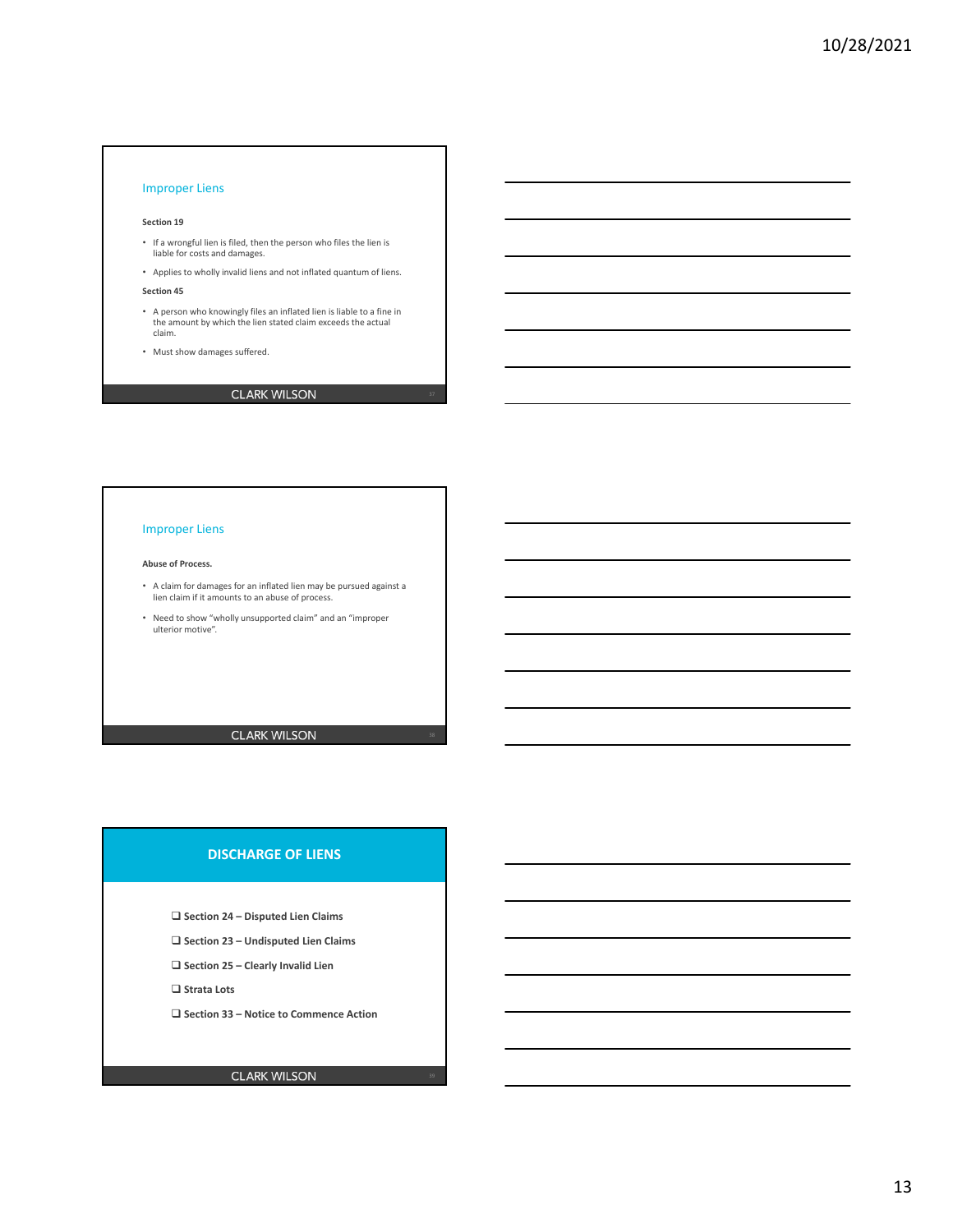### Improper Liens

#### **Section 19**

- If a wrongful lien is filed, then the person who files the lien is liable for costs and damages.
- Applies to wholly invalid liens and not inflated quantum of liens.

#### **Section 45**

- A person who knowingly files an inflated lien is liable to a fine in the amount by which the lien stated claim exceeds the actual claim.
- Must show damages suffered.

## **CLARK WILSON**

### Improper Liens

#### **Abuse of Process.**

- A claim for damages for an inflated lien may be pursued against a lien claim if it amounts to an abuse of process.
- Need to show "wholly unsupported claim" and an "improper ulterior motive".

**CLARK WILSON** 

## **DISCHARGE OF LIENS**

**Section 24 – Disputed Lien Claims**

- **Section 23 Undisputed Lien Claims**
- **Section 25 Clearly Invalid Lien**

**Strata Lots**

**Section 33 – Notice to Commence Action**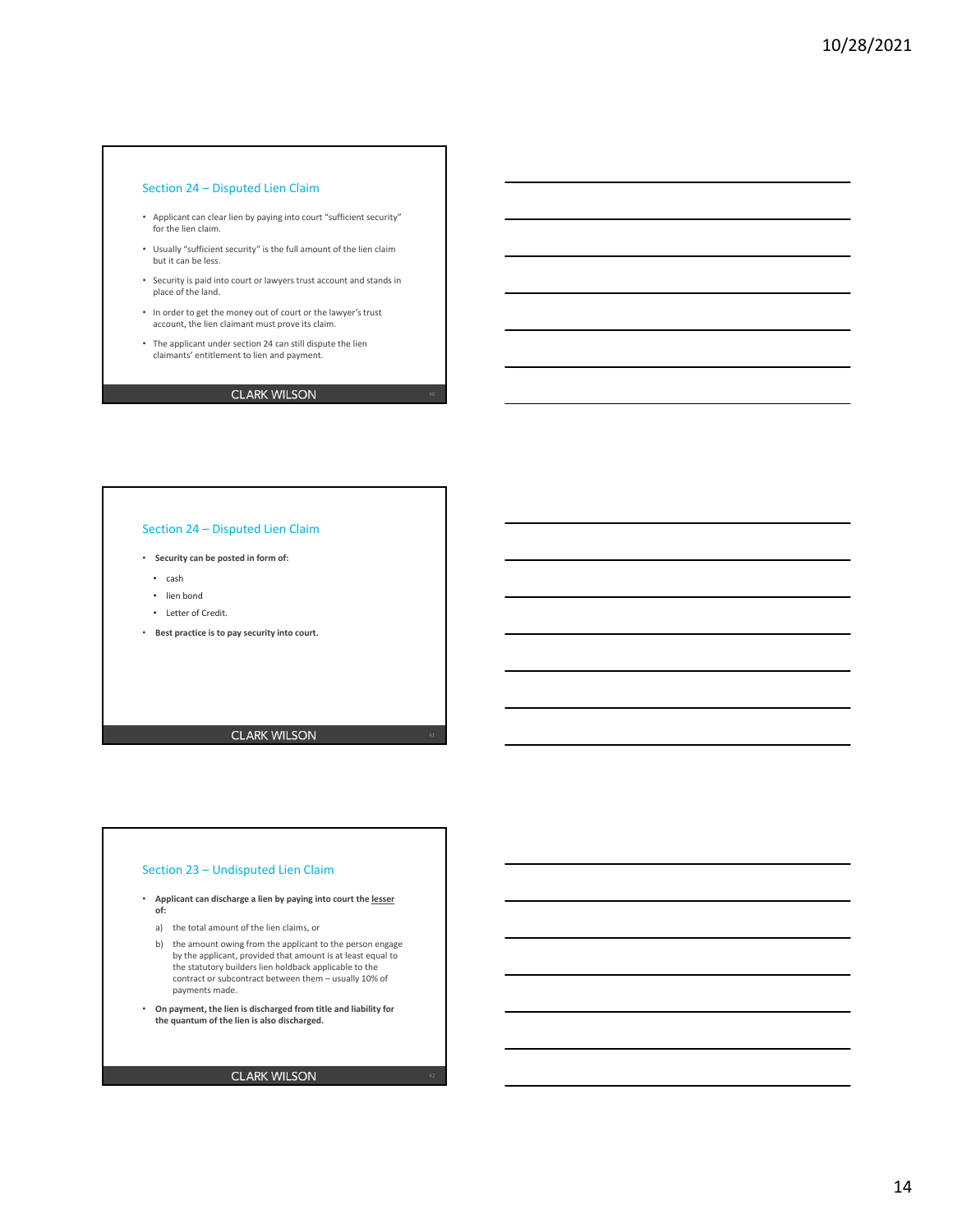### Section 24 – Disputed Lien Claim

- Applicant can clear lien by paying into court "sufficient security" for the lien claim.
- Usually "sufficient security" is the full amount of the lien claim but it can be less.
- Security is paid into court or lawyers trust account and stands in place of the land.
- In order to get the money out of court or the lawyer's trust account, the lien claimant must prove its claim.
- The applicant under section 24 can still dispute the lien claimants' entitlement to lien and payment.

## **CLARK WILSON**

### Section 24 – Disputed Lien Claim

- **Security can be posted in form of:**
	- cash
	- lien bond
	- Letter of Credit.
- **Best practice is to pay security into court.**

**CLARK WILSON** 

#### Section 23 – Undisputed Lien Claim

- **Applicant can discharge a lien by paying into court the lesser of:**
	- a) the total amount of the lien claims, or
	- b) the amount owing from the applicant to the person engage by the applicant, provided that amount is at least equal to the statutory builders lien holdback applicable to the contract or subcontract between them – usually 10% of payments made.
- **On payment, the lien is discharged from title and liability for the quantum of the lien is also discharged.**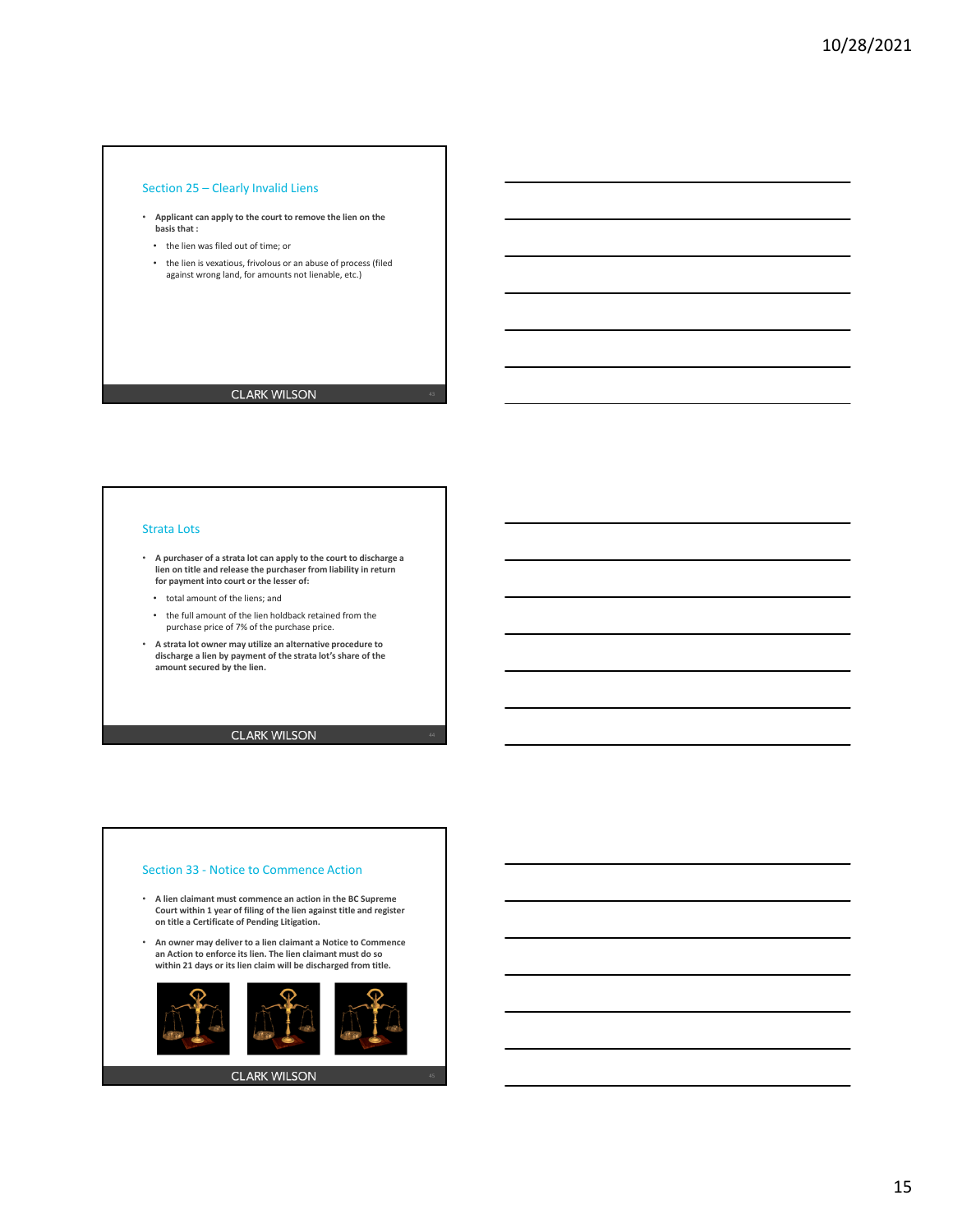### Section 25 – Clearly Invalid Liens

- **Applicant can apply to the court to remove the lien on the basis that :**
	- the lien was filed out of time; or
	- the lien is vexatious, frivolous or an abuse of process (filed against wrong land, for amounts not lienable, etc.)

## **CLARK WILSON**

#### Strata Lots

- **A purchaser of a strata lot can apply to the court to discharge a lien on title and release the purchaser from liability in return for payment into court or the lesser of:**
	- total amount of the liens; and
	- the full amount of the lien holdback retained from the purchase price of 7% of the purchase price.
- **A strata lot owner may utilize an alternative procedure to discharge a lien by payment of the strata lot's share of the amount secured by the lien.**

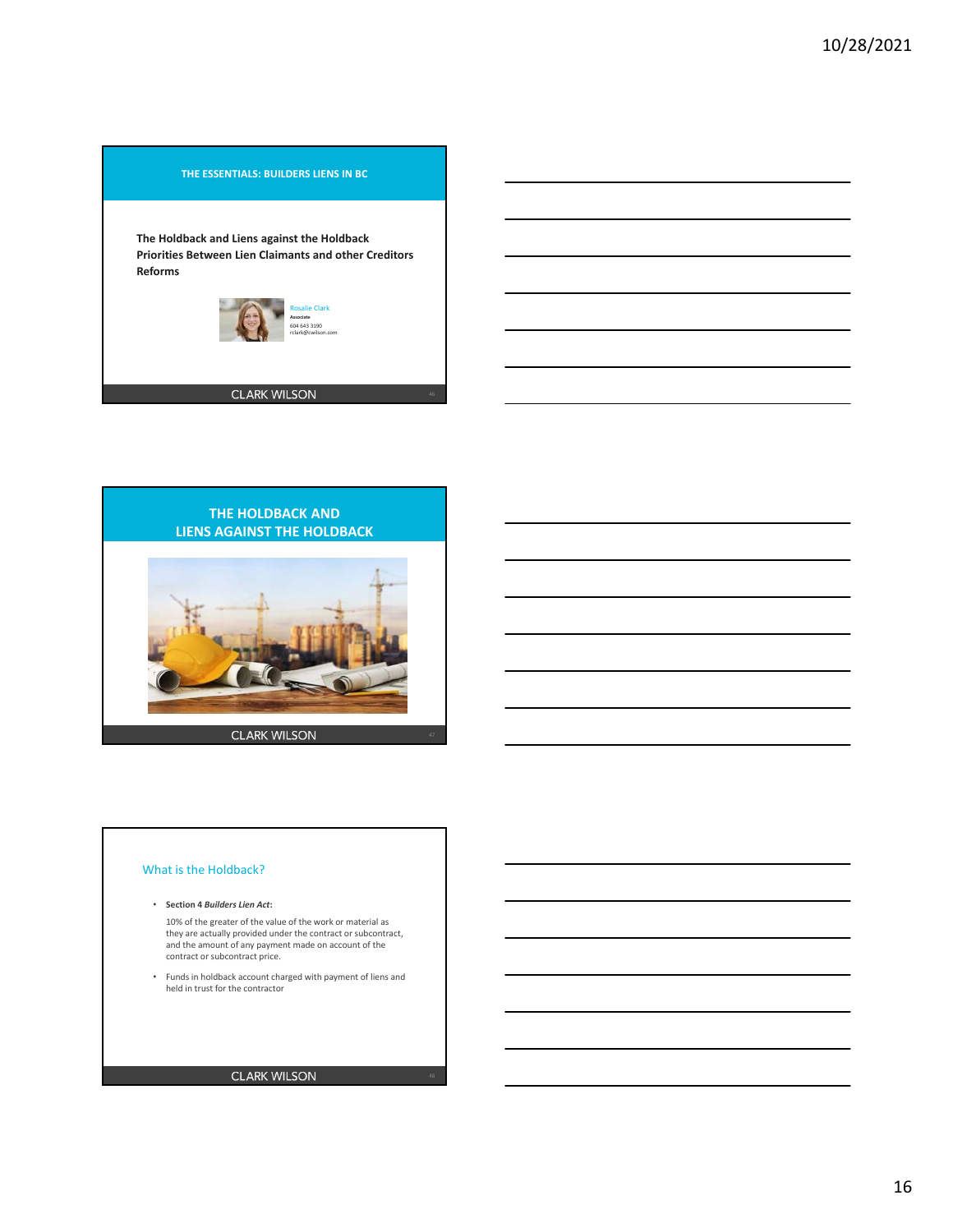## **THE ESSENTIALS: BUILDERS LIENS IN BC**

**The Holdback and Liens against the Holdback Priorities Between Lien Claimants and other Creditors Reforms**





### What is the Holdback?

- **Section 4** *Builders Lien Act***:**
	- 10% of the greater of the value of the work or material as they are actually provided under the contract or subcontract, and the amount of any payment made on account of the contract or subcontract price.
- Funds in holdback account charged with payment of liens and held in trust for the contractor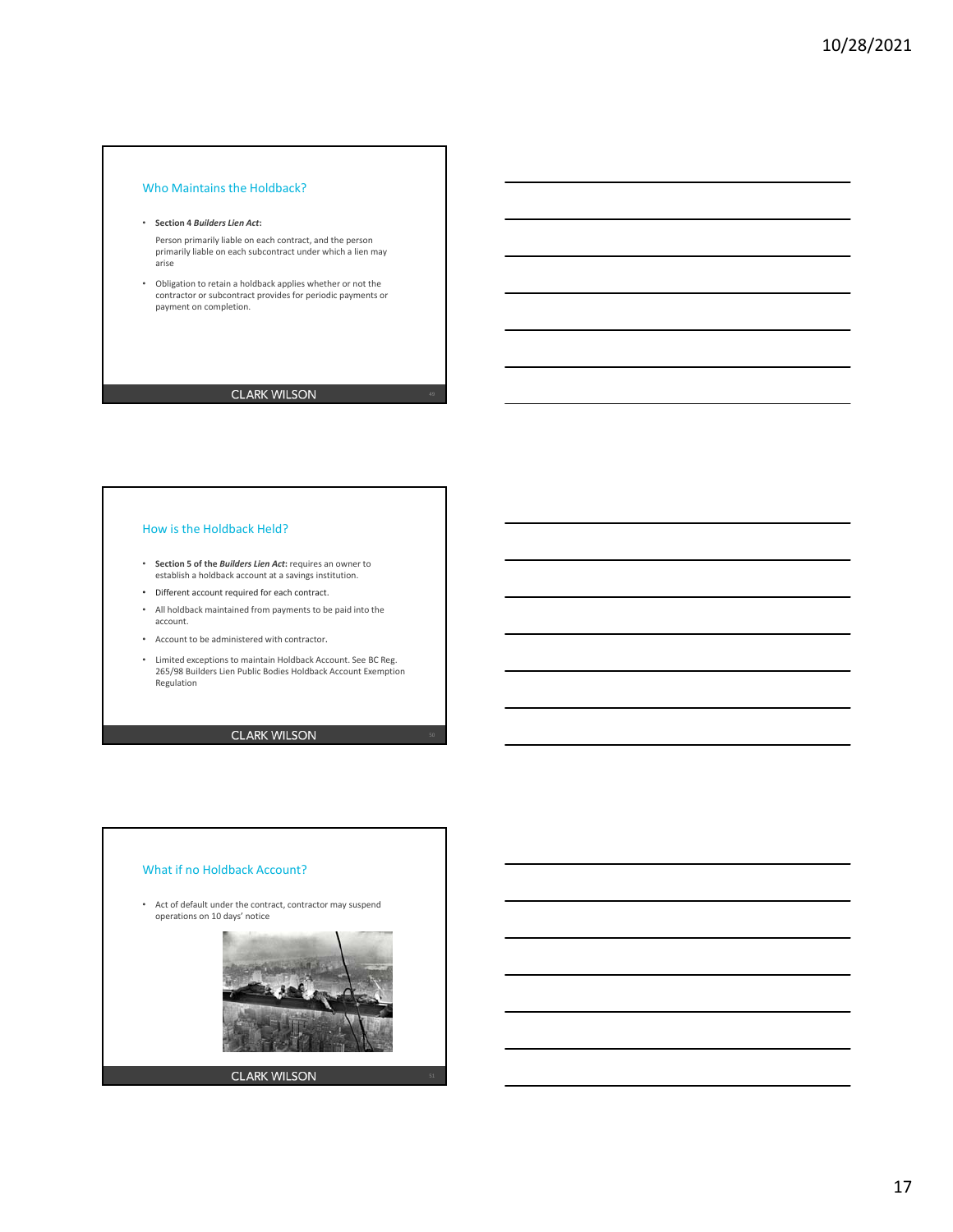## Who Maintains the Holdback?

#### • **Section 4** *Builders Lien Act***:**

Person primarily liable on each contract, and the person primarily liable on each subcontract under which a lien may arise

• Obligation to retain a holdback applies whether or not the contractor or subcontract provides for periodic payments or payment on completion.

## **CLARK WILSON**

### How is the Holdback Held?

- **Section 5 of the** *Builders Lien Act***:** requires an owner to establish a holdback account at a savings institution.
- Different account required for each contract.
- All holdback maintained from payments to be paid into the account.
- Account to be administered with contractor.
- Limited exceptions to maintain Holdback Account. See BC Reg. 265/98 Builders Lien Public Bodies Holdback Account Exemption Regulation

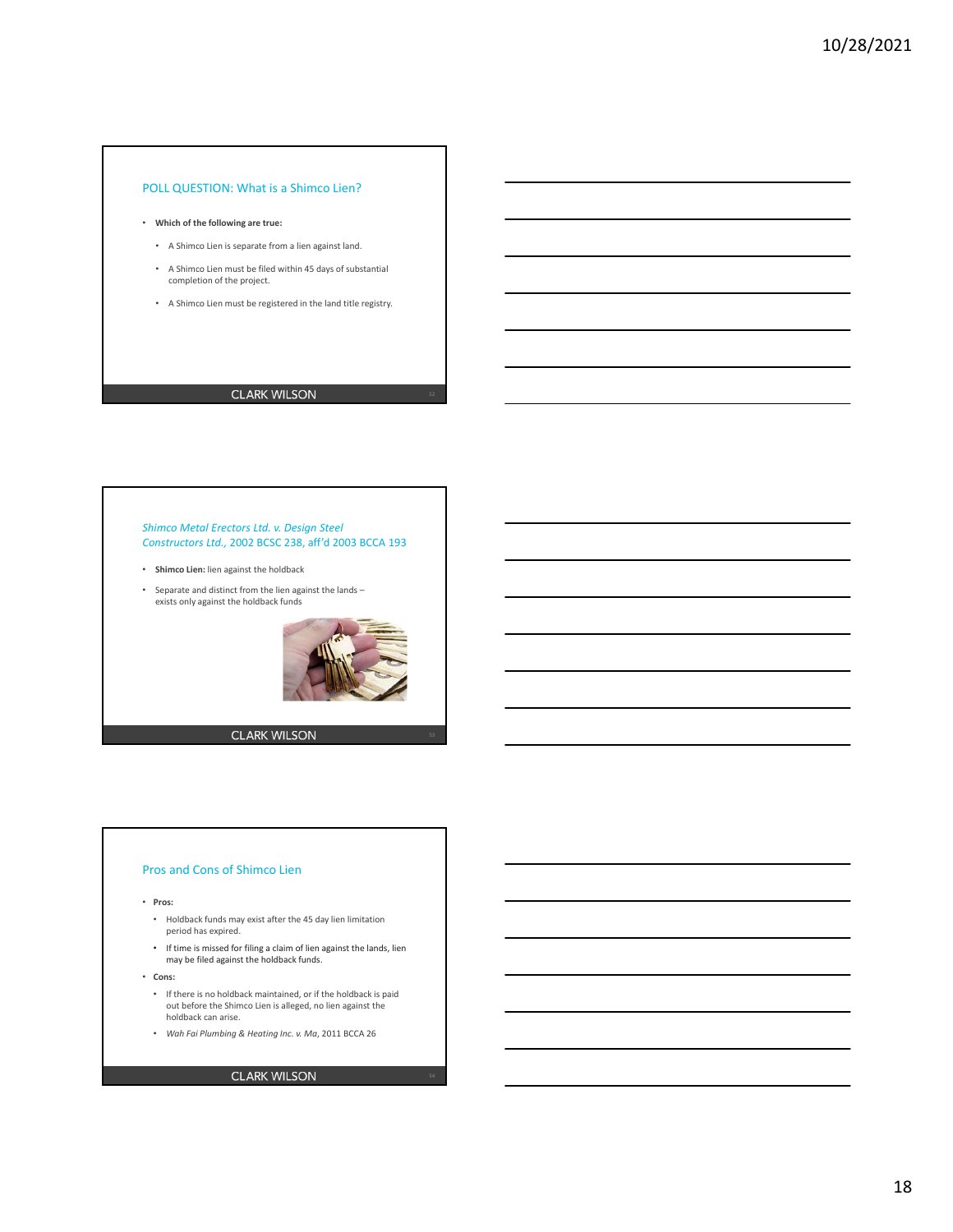## POLL QUESTION: What is a Shimco Lien?

- **Which of the following are true:**
	- A Shimco Lien is separate from a lien against land.
	- A Shimco Lien must be filed within 45 days of substantial completion of the project.
	- A Shimco Lien must be registered in the land title registry.

## **CLARK WILSON**

#### *Shimco Metal Erectors Ltd. v. Design Steel Constructors Ltd.,* 2002 BCSC 238, aff'd 2003 BCCA 193

- **Shimco Lien:** lien against the holdback
- Separate and distinct from the lien against the lands exists only against the holdback funds



**CLARK WILSON** 

#### Pros and Cons of Shimco Lien

- **Pros:**
	- Holdback funds may exist after the 45 day lien limitation period has expired.
	- If time is missed for filing a claim of lien against the lands, lien may be filed against the holdback funds.
- **Cons:**
	- If there is no holdback maintained, or if the holdback is paid out before the Shimco Lien is alleged, no lien against the holdback can arise.
	- *Wah Fai Plumbing & Heating Inc. v. Ma*, 2011 BCCA 26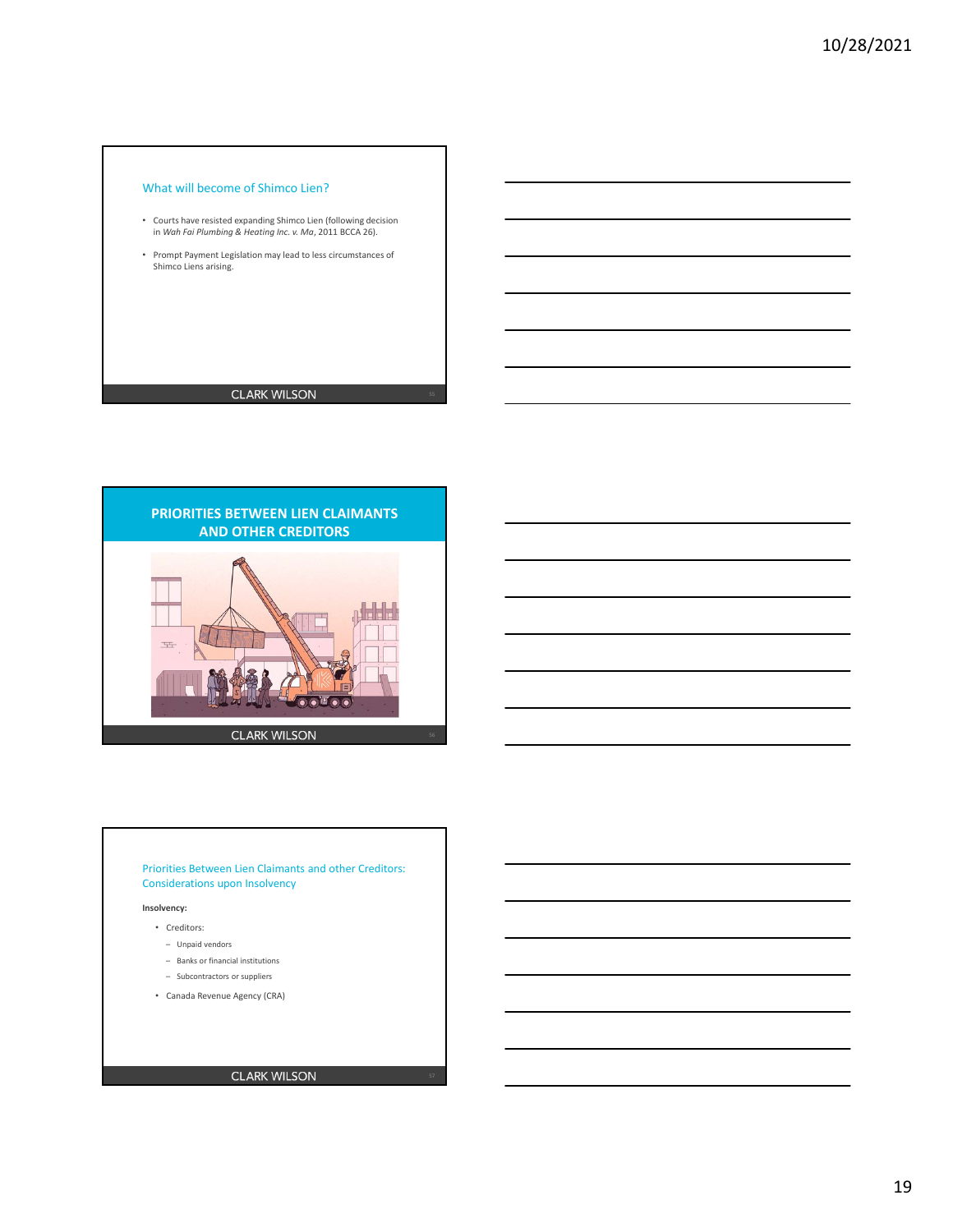## What will become of Shimco Lien?

- Courts have resisted expanding Shimco Lien (following decision in *Wah Fai Plumbing & Heating Inc. v. Ma*, 2011 BCCA 26).
- Prompt Payment Legislation may lead to less circumstances of Shimco Liens arising.

## **CLARK WILSON**



### Priorities Between Lien Claimants and other Creditors: Considerations upon Insolvency

#### **Insolvency:**

- Creditors:
	- Unpaid vendors
	- Banks or financial institutions
	- Subcontractors or suppliers
- Canada Revenue Agency (CRA)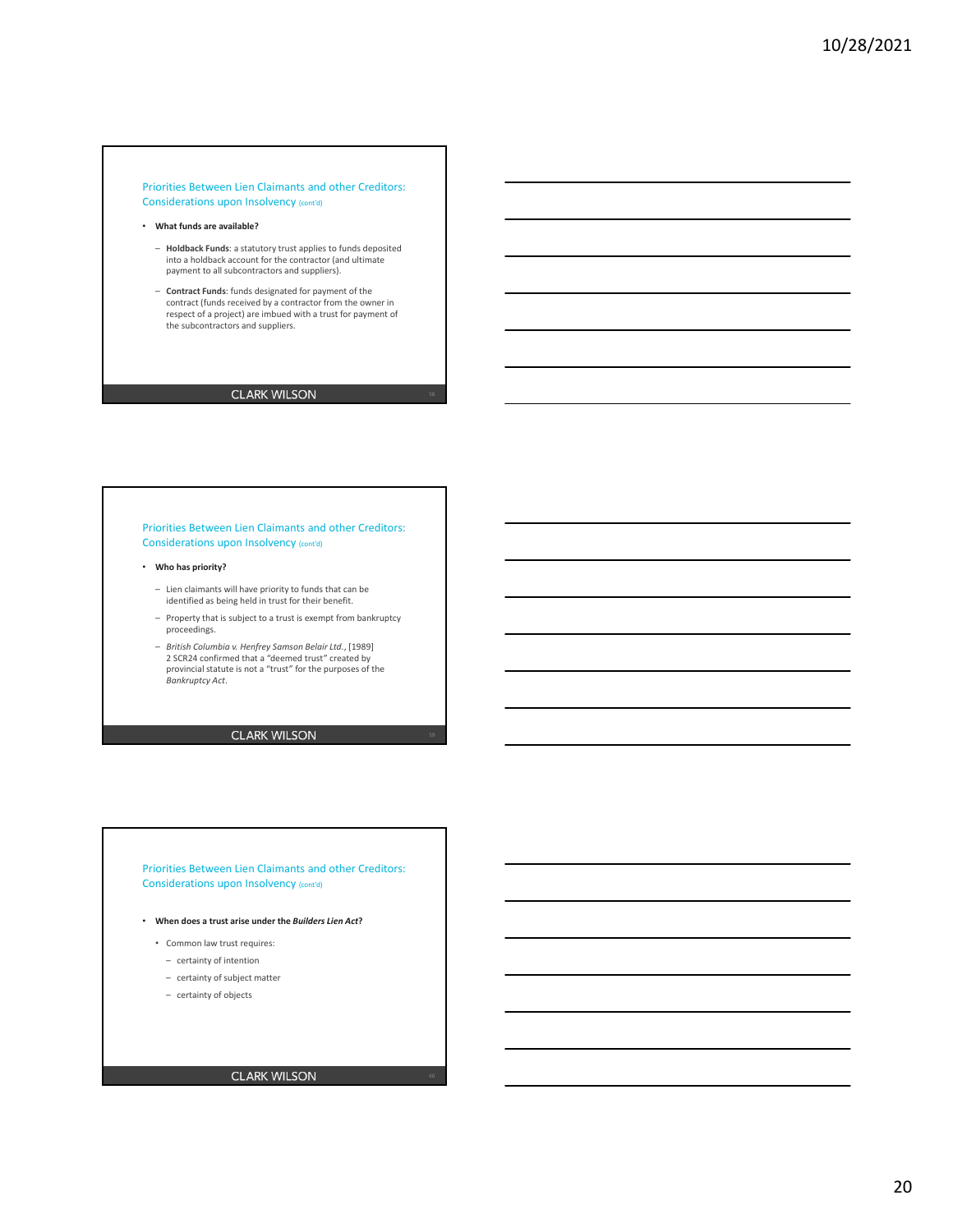#### Priorities Between Lien Claimants and other Creditors: Considerations upon Insolvency (cont'd)

- **What funds are available?**
	- **Holdback Funds**: a statutory trust applies to funds deposited into a holdback account for the contractor (and ultimate payment to all subcontractors and suppliers).
	- **Contract Funds**: funds designated for payment of the contract (funds received by a contractor from the owner in respect of a project) are imbued with a trust for payment of the subcontractors and suppliers.

## **CLARK WILSON**

#### Priorities Between Lien Claimants and other Creditors: Considerations upon Insolvency (cont'd)

#### • **Who has priority?**

- Lien claimants will have priority to funds that can be identified as being held in trust for their benefit.
- Property that is subject to a trust is exempt from bankruptcy proceedings.
- *British Columbia v. Henfrey Samson Belair Ltd.*, [1989] 2 SCR24 confirmed that a "deemed trust" created by provincial statute is not a "trust" for the purposes of the *Bankruptcy Act*.

## **CLARK WILSON**

Priorities Between Lien Claimants and other Creditors: Considerations upon Insolvency (cont'd)

- **When does a trust arise under the** *Builders Lien Act***?**
	- Common law trust requires:
		- certainty of intention
		- certainty of subject matter
		- certainty of objects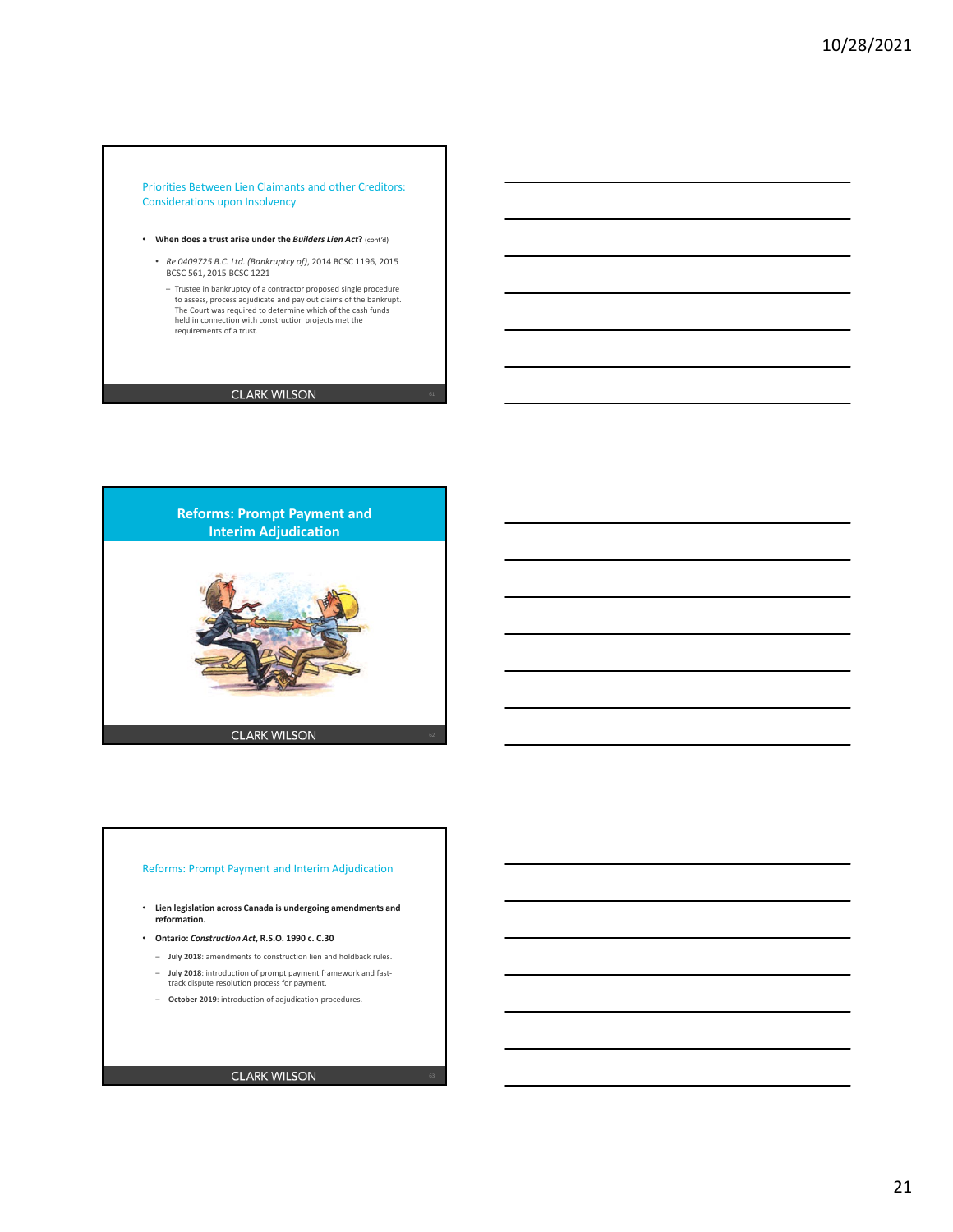#### Priorities Between Lien Claimants and other Creditors: Considerations upon Insolvency

- **When does a trust arise under the** *Builders Lien Act***?** (cont'd)
	- *Re 0409725 B.C. Ltd. (Bankruptcy of)*, 2014 BCSC 1196, 2015 BCSC 561, 2015 BCSC 1221
		- Trustee in bankruptcy of a contractor proposed single procedure<br>to assess, process adjudicate and pay out claims of the bankrupt.<br>The Court was required to determine which of the cash funds<br>held in connection with constr requirements of a trust.

## **CLARK WILSON**



### Reforms: Prompt Payment and Interim Adjudication

- **Lien legislation across Canada is undergoing amendments and reformation.**
- **Ontario:** *Construction Act***, R.S.O. 1990 c. C.30**
	- **July 2018**: amendments to construction lien and holdback rules. – **July 2018**: introduction of prompt payment framework and fast‐ track dispute resolution process for payment.
	- **October 2019**: introduction of adjudication procedures.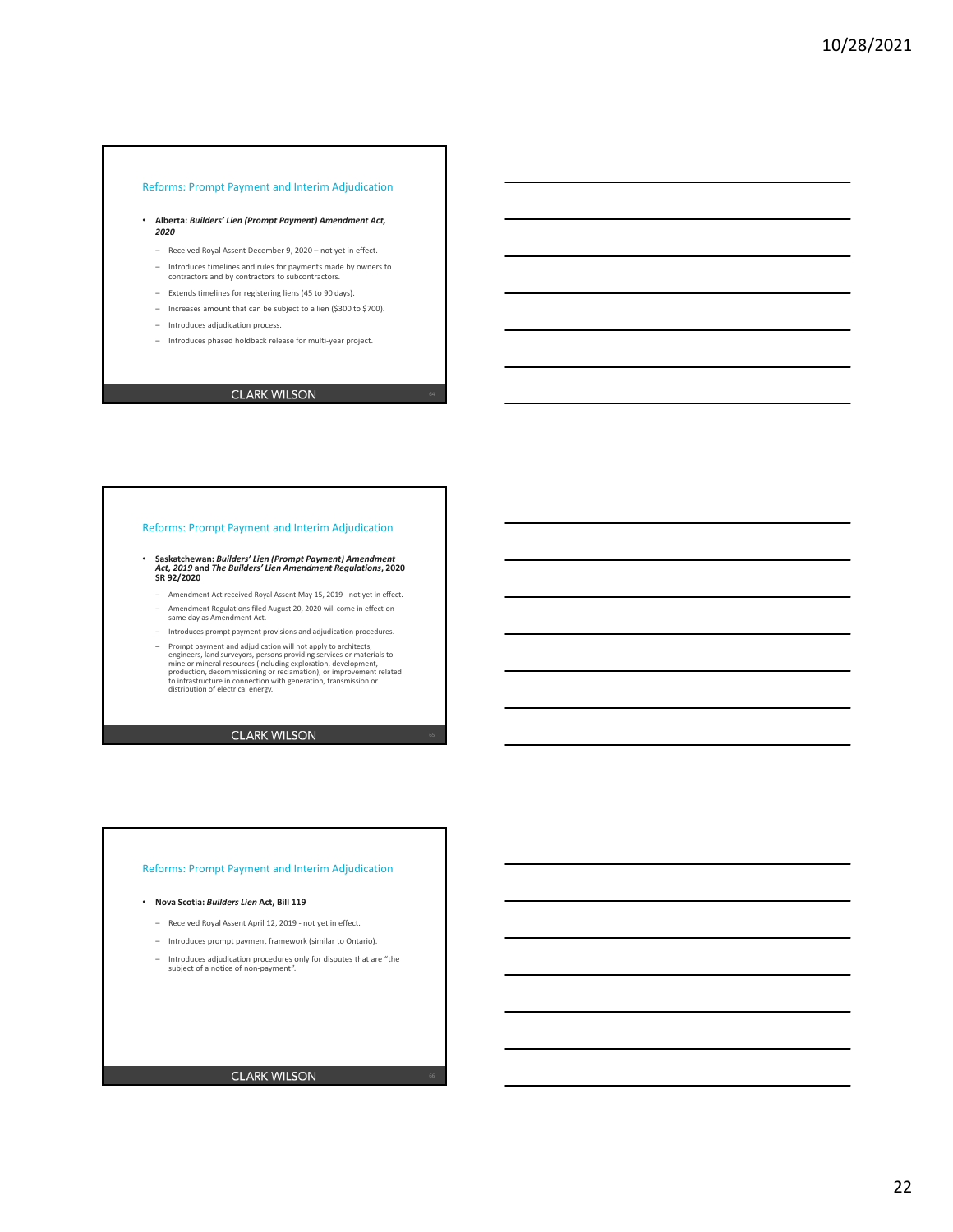### Reforms: Prompt Payment and Interim Adjudication

- **Alberta:** *Builders' Lien (Prompt Payment) Amendment Act, 2020*
	- Received Royal Assent December 9, 2020 not yet in effect.
	- Introduces timelines and rules for payments made by owners to contractors and by contractors to subcontractors.
	- Extends timelines for registering liens (45 to 90 days).
	- Increases amount that can be subject to a lien (\$300 to \$700).
	- Introduces adjudication process.
	- Introduces phased holdback release for multi‐year project.

## **CLARK WILSON**

### Reforms: Prompt Payment and Interim Adjudication

- **Saskatchewan:** *Builders' Lien (Prompt Payment) Amendment Act, 2019* **and** *The Builders' Lien Amendment Regulations***, 2020 SR 92/2020**
- Amendment Act received Royal Assent May 15, 2019 ‐ not yet in effect. – Amendment Regulations filed August 20, 2020 will come in effect on same day as Amendment Act.
- Introduces prompt payment provisions and adjudication procedures.
- Prompt payment and adjudication will not apply to architects,<br>engineers, land surveyors, persons providing services or materials to<br>mine or mineral resources (including exploration, development,<br>production, decommissioni

### **CLARK WILSON**

### Reforms: Prompt Payment and Interim Adjudication

### • **Nova Scotia:** *Builders Lien* **Act, Bill 119**

- Received Royal Assent April 12, 2019 ‐ not yet in effect.
- Introduces prompt payment framework (similar to Ontario).
- Introduces adjudication procedures only for disputes that are "the subject of a notice of non‐payment".